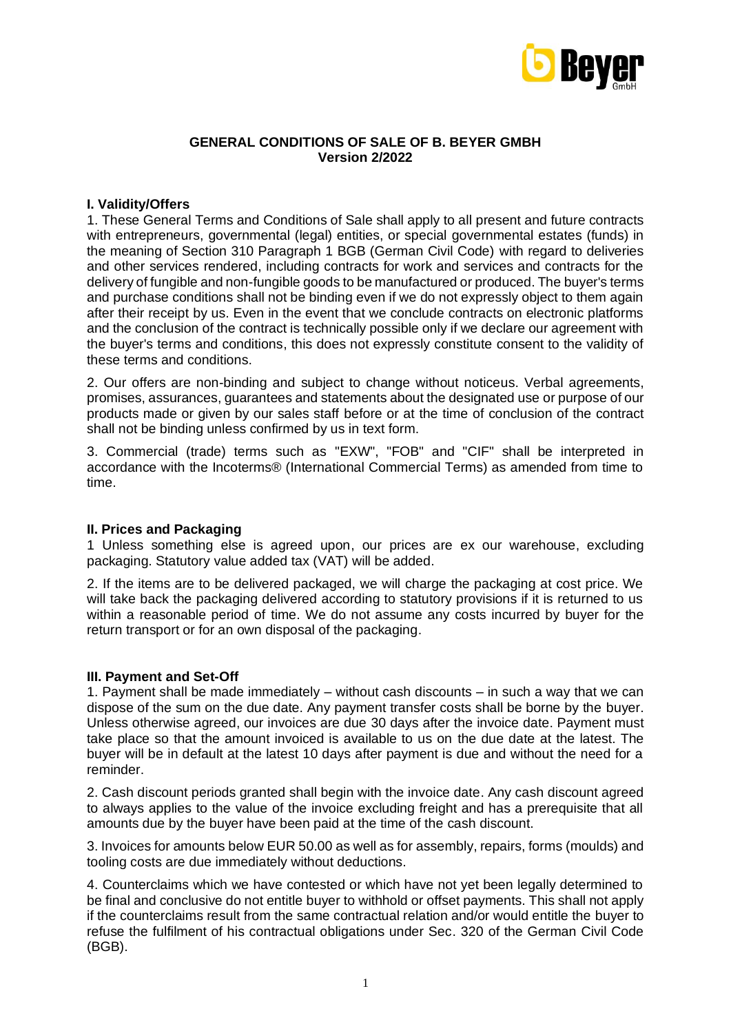

### **GENERAL CONDITIONS OF SALE OF B. BEYER GMBH Version 2/2022**

### **I. Validity/Offers**

1. These General Terms and Conditions of Sale shall apply to all present and future contracts with entrepreneurs, governmental (legal) entities, or special governmental estates (funds) in the meaning of Section 310 Paragraph 1 BGB (German Civil Code) with regard to deliveries and other services rendered, including contracts for work and services and contracts for the delivery of fungible and non-fungible goods to be manufactured or produced. The buyer's terms and purchase conditions shall not be binding even if we do not expressly object to them again after their receipt by us. Even in the event that we conclude contracts on electronic platforms and the conclusion of the contract is technically possible only if we declare our agreement with the buyer's terms and conditions, this does not expressly constitute consent to the validity of these terms and conditions.

2. Our offers are non-binding and subject to change without noticeus. Verbal agreements, promises, assurances, guarantees and statements about the designated use or purpose of our products made or given by our sales staff before or at the time of conclusion of the contract shall not be binding unless confirmed by us in text form.

3. Commercial (trade) terms such as "EXW", "FOB" and "CIF" shall be interpreted in accordance with the Incoterms® (International Commercial Terms) as amended from time to time.

#### **II. Prices and Packaging**

1 Unless something else is agreed upon, our prices are ex our warehouse, excluding packaging. Statutory value added tax (VAT) will be added.

2. If the items are to be delivered packaged, we will charge the packaging at cost price. We will take back the packaging delivered according to statutory provisions if it is returned to us within a reasonable period of time. We do not assume any costs incurred by buyer for the return transport or for an own disposal of the packaging.

#### **III. Payment and Set-Off**

1. Payment shall be made immediately – without cash discounts – in such a way that we can dispose of the sum on the due date. Any payment transfer costs shall be borne by the buyer. Unless otherwise agreed, our invoices are due 30 days after the invoice date. Payment must take place so that the amount invoiced is available to us on the due date at the latest. The buyer will be in default at the latest 10 days after payment is due and without the need for a reminder.

2. Cash discount periods granted shall begin with the invoice date. Any cash discount agreed to always applies to the value of the invoice excluding freight and has a prerequisite that all amounts due by the buyer have been paid at the time of the cash discount.

3. Invoices for amounts below EUR 50.00 as well as for assembly, repairs, forms (moulds) and tooling costs are due immediately without deductions.

4. Counterclaims which we have contested or which have not yet been legally determined to be final and conclusive do not entitle buyer to withhold or offset payments. This shall not apply if the counterclaims result from the same contractual relation and/or would entitle the buyer to refuse the fulfilment of his contractual obligations under Sec. 320 of the German Civil Code (BGB).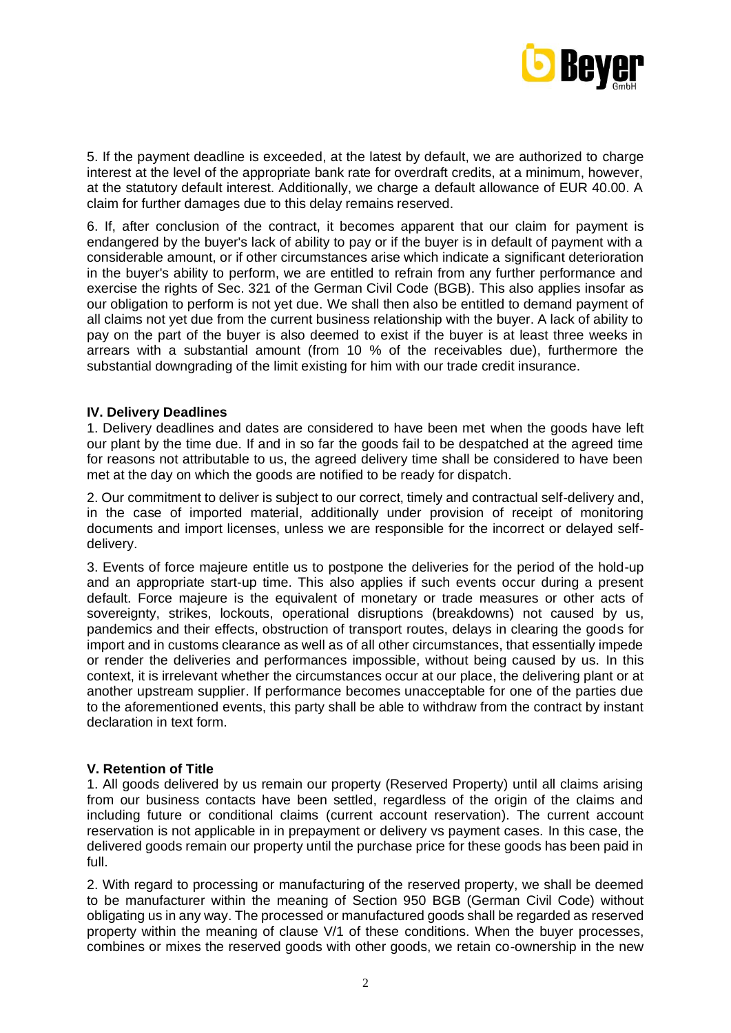

5. If the payment deadline is exceeded, at the latest by default, we are authorized to charge interest at the level of the appropriate bank rate for overdraft credits, at a minimum, however, at the statutory default interest. Additionally, we charge a default allowance of EUR 40.00. A claim for further damages due to this delay remains reserved.

6. If, after conclusion of the contract, it becomes apparent that our claim for payment is endangered by the buyer's lack of ability to pay or if the buyer is in default of payment with a considerable amount, or if other circumstances arise which indicate a significant deterioration in the buyer's ability to perform, we are entitled to refrain from any further performance and exercise the rights of Sec. 321 of the German Civil Code (BGB). This also applies insofar as our obligation to perform is not yet due. We shall then also be entitled to demand payment of all claims not yet due from the current business relationship with the buyer. A lack of ability to pay on the part of the buyer is also deemed to exist if the buyer is at least three weeks in arrears with a substantial amount (from 10 % of the receivables due), furthermore the substantial downgrading of the limit existing for him with our trade credit insurance.

### **IV. Delivery Deadlines**

1. Delivery deadlines and dates are considered to have been met when the goods have left our plant by the time due. If and in so far the goods fail to be despatched at the agreed time for reasons not attributable to us, the agreed delivery time shall be considered to have been met at the day on which the goods are notified to be ready for dispatch.

2. Our commitment to deliver is subject to our correct, timely and contractual self-delivery and, in the case of imported material, additionally under provision of receipt of monitoring documents and import licenses, unless we are responsible for the incorrect or delayed selfdelivery.

3. Events of force majeure entitle us to postpone the deliveries for the period of the hold-up and an appropriate start-up time. This also applies if such events occur during a present default. Force majeure is the equivalent of monetary or trade measures or other acts of sovereignty, strikes, lockouts, operational disruptions (breakdowns) not caused by us, pandemics and their effects, obstruction of transport routes, delays in clearing the goods for import and in customs clearance as well as of all other circumstances, that essentially impede or render the deliveries and performances impossible, without being caused by us. In this context, it is irrelevant whether the circumstances occur at our place, the delivering plant or at another upstream supplier. If performance becomes unacceptable for one of the parties due to the aforementioned events, this party shall be able to withdraw from the contract by instant declaration in text form.

#### **V. Retention of Title**

1. All goods delivered by us remain our property (Reserved Property) until all claims arising from our business contacts have been settled, regardless of the origin of the claims and including future or conditional claims (current account reservation). The current account reservation is not applicable in in prepayment or delivery vs payment cases. In this case, the delivered goods remain our property until the purchase price for these goods has been paid in full.

2. With regard to processing or manufacturing of the reserved property, we shall be deemed to be manufacturer within the meaning of Section 950 BGB (German Civil Code) without obligating us in any way. The processed or manufactured goods shall be regarded as reserved property within the meaning of clause V/1 of these conditions. When the buyer processes, combines or mixes the reserved goods with other goods, we retain co-ownership in the new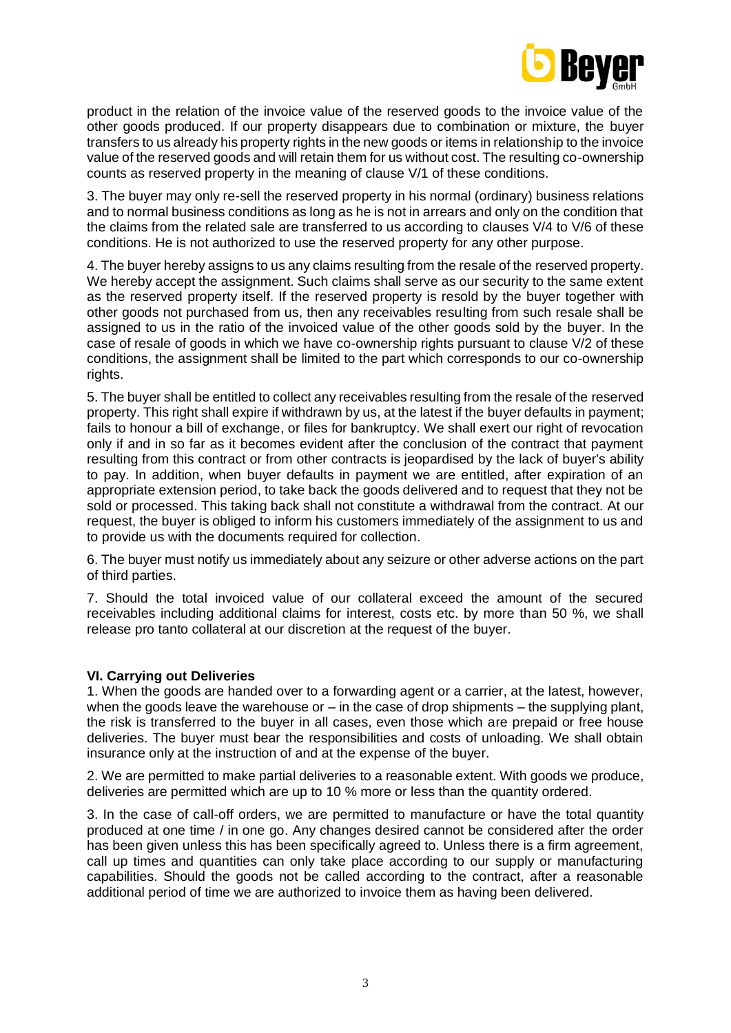

product in the relation of the invoice value of the reserved goods to the invoice value of the other goods produced. If our property disappears due to combination or mixture, the buyer transfers to us already his property rights in the new goods or items in relationship to the invoice value of the reserved goods and will retain them for us without cost. The resulting co-ownership counts as reserved property in the meaning of clause V/1 of these conditions.

3. The buyer may only re-sell the reserved property in his normal (ordinary) business relations and to normal business conditions as long as he is not in arrears and only on the condition that the claims from the related sale are transferred to us according to clauses V/4 to V/6 of these conditions. He is not authorized to use the reserved property for any other purpose.

4. The buyer hereby assigns to us any claims resulting from the resale of the reserved property. We hereby accept the assignment. Such claims shall serve as our security to the same extent as the reserved property itself. If the reserved property is resold by the buyer together with other goods not purchased from us, then any receivables resulting from such resale shall be assigned to us in the ratio of the invoiced value of the other goods sold by the buyer. In the case of resale of goods in which we have co-ownership rights pursuant to clause V/2 of these conditions, the assignment shall be limited to the part which corresponds to our co-ownership rights.

5. The buyer shall be entitled to collect any receivables resulting from the resale of the reserved property. This right shall expire if withdrawn by us, at the latest if the buyer defaults in payment; fails to honour a bill of exchange, or files for bankruptcy. We shall exert our right of revocation only if and in so far as it becomes evident after the conclusion of the contract that payment resulting from this contract or from other contracts is jeopardised by the lack of buyer's ability to pay. In addition, when buyer defaults in payment we are entitled, after expiration of an appropriate extension period, to take back the goods delivered and to request that they not be sold or processed. This taking back shall not constitute a withdrawal from the contract. At our request, the buyer is obliged to inform his customers immediately of the assignment to us and to provide us with the documents required for collection.

6. The buyer must notify us immediately about any seizure or other adverse actions on the part of third parties.

7. Should the total invoiced value of our collateral exceed the amount of the secured receivables including additional claims for interest, costs etc. by more than 50 %, we shall release pro tanto collateral at our discretion at the request of the buyer.

# **VI. Carrying out Deliveries**

1. When the goods are handed over to a forwarding agent or a carrier, at the latest, however, when the goods leave the warehouse or  $-$  in the case of drop shipments  $-$  the supplying plant, the risk is transferred to the buyer in all cases, even those which are prepaid or free house deliveries. The buyer must bear the responsibilities and costs of unloading. We shall obtain insurance only at the instruction of and at the expense of the buyer.

2. We are permitted to make partial deliveries to a reasonable extent. With goods we produce, deliveries are permitted which are up to 10 % more or less than the quantity ordered.

3. In the case of call-off orders, we are permitted to manufacture or have the total quantity produced at one time / in one go. Any changes desired cannot be considered after the order has been given unless this has been specifically agreed to. Unless there is a firm agreement, call up times and quantities can only take place according to our supply or manufacturing capabilities. Should the goods not be called according to the contract, after a reasonable additional period of time we are authorized to invoice them as having been delivered.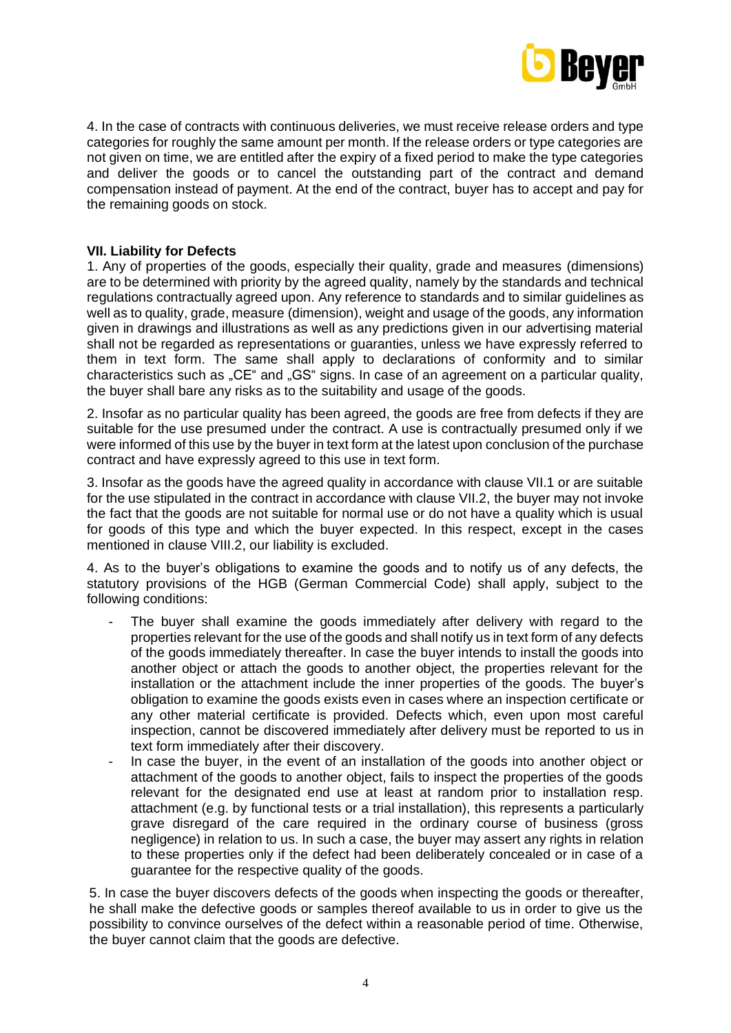

4. In the case of contracts with continuous deliveries, we must receive release orders and type categories for roughly the same amount per month. If the release orders or type categories are not given on time, we are entitled after the expiry of a fixed period to make the type categories and deliver the goods or to cancel the outstanding part of the contract and demand compensation instead of payment. At the end of the contract, buyer has to accept and pay for the remaining goods on stock.

# **VII. Liability for Defects**

1. Any of properties of the goods, especially their quality, grade and measures (dimensions) are to be determined with priority by the agreed quality, namely by the standards and technical regulations contractually agreed upon. Any reference to standards and to similar guidelines as well as to quality, grade, measure (dimension), weight and usage of the goods, any information given in drawings and illustrations as well as any predictions given in our advertising material shall not be regarded as representations or guaranties, unless we have expressly referred to them in text form. The same shall apply to declarations of conformity and to similar characteristics such as "CE" and "GS" signs. In case of an agreement on a particular quality, the buyer shall bare any risks as to the suitability and usage of the goods.

2. Insofar as no particular quality has been agreed, the goods are free from defects if they are suitable for the use presumed under the contract. A use is contractually presumed only if we were informed of this use by the buyer in text form at the latest upon conclusion of the purchase contract and have expressly agreed to this use in text form.

3. Insofar as the goods have the agreed quality in accordance with clause VII.1 or are suitable for the use stipulated in the contract in accordance with clause VII.2, the buyer may not invoke the fact that the goods are not suitable for normal use or do not have a quality which is usual for goods of this type and which the buyer expected. In this respect, except in the cases mentioned in clause VIII.2, our liability is excluded.

4. As to the buyer's obligations to examine the goods and to notify us of any defects, the statutory provisions of the HGB (German Commercial Code) shall apply, subject to the following conditions:

- The buyer shall examine the goods immediately after delivery with regard to the properties relevant for the use of the goods and shall notify us in text form of any defects of the goods immediately thereafter. In case the buyer intends to install the goods into another object or attach the goods to another object, the properties relevant for the installation or the attachment include the inner properties of the goods. The buyer's obligation to examine the goods exists even in cases where an inspection certificate or any other material certificate is provided. Defects which, even upon most careful inspection, cannot be discovered immediately after delivery must be reported to us in text form immediately after their discovery.
- In case the buyer, in the event of an installation of the goods into another object or attachment of the goods to another object, fails to inspect the properties of the goods relevant for the designated end use at least at random prior to installation resp. attachment (e.g. by functional tests or a trial installation), this represents a particularly grave disregard of the care required in the ordinary course of business (gross negligence) in relation to us. In such a case, the buyer may assert any rights in relation to these properties only if the defect had been deliberately concealed or in case of a guarantee for the respective quality of the goods.

5. In case the buyer discovers defects of the goods when inspecting the goods or thereafter, he shall make the defective goods or samples thereof available to us in order to give us the possibility to convince ourselves of the defect within a reasonable period of time. Otherwise, the buyer cannot claim that the goods are defective.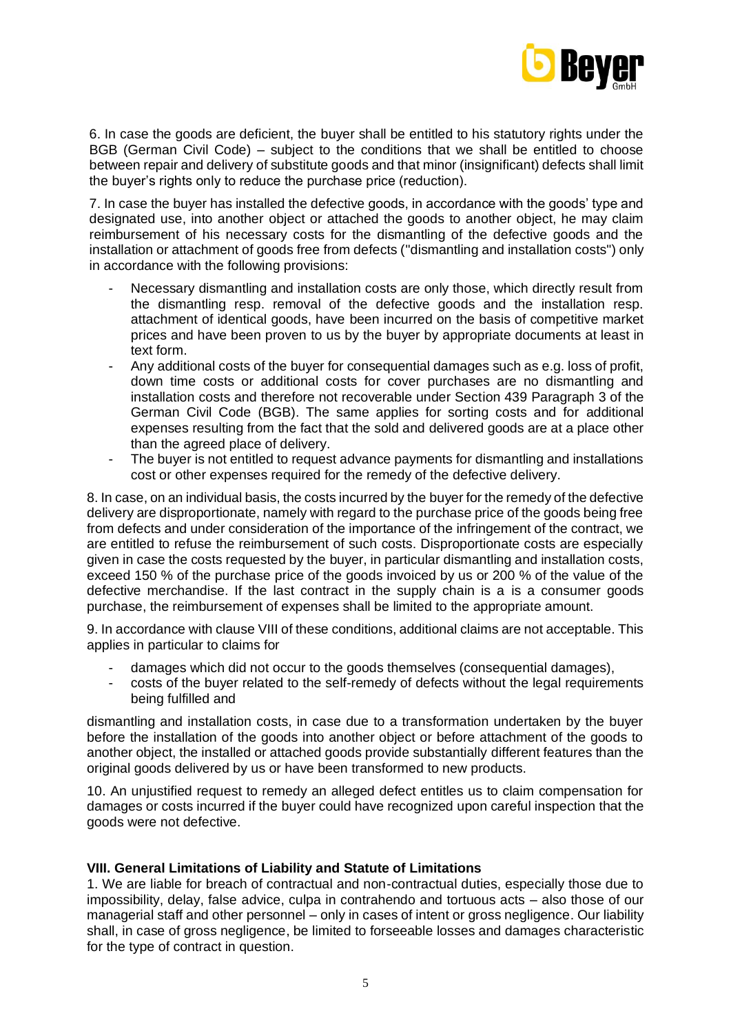

6. In case the goods are deficient, the buyer shall be entitled to his statutory rights under the BGB (German Civil Code) – subject to the conditions that we shall be entitled to choose between repair and delivery of substitute goods and that minor (insignificant) defects shall limit the buyer's rights only to reduce the purchase price (reduction).

7. In case the buyer has installed the defective goods, in accordance with the goods' type and designated use, into another object or attached the goods to another object, he may claim reimbursement of his necessary costs for the dismantling of the defective goods and the installation or attachment of goods free from defects ("dismantling and installation costs") only in accordance with the following provisions:

- Necessary dismantling and installation costs are only those, which directly result from the dismantling resp. removal of the defective goods and the installation resp. attachment of identical goods, have been incurred on the basis of competitive market prices and have been proven to us by the buyer by appropriate documents at least in text form.
- Any additional costs of the buyer for consequential damages such as e.g. loss of profit, down time costs or additional costs for cover purchases are no dismantling and installation costs and therefore not recoverable under Section 439 Paragraph 3 of the German Civil Code (BGB). The same applies for sorting costs and for additional expenses resulting from the fact that the sold and delivered goods are at a place other than the agreed place of delivery.
- The buyer is not entitled to request advance payments for dismantling and installations cost or other expenses required for the remedy of the defective delivery.

8. In case, on an individual basis, the costs incurred by the buyer for the remedy of the defective delivery are disproportionate, namely with regard to the purchase price of the goods being free from defects and under consideration of the importance of the infringement of the contract, we are entitled to refuse the reimbursement of such costs. Disproportionate costs are especially given in case the costs requested by the buyer, in particular dismantling and installation costs, exceed 150 % of the purchase price of the goods invoiced by us or 200 % of the value of the defective merchandise. If the last contract in the supply chain is a is a consumer goods purchase, the reimbursement of expenses shall be limited to the appropriate amount.

9. In accordance with clause VIII of these conditions, additional claims are not acceptable. This applies in particular to claims for

- damages which did not occur to the goods themselves (consequential damages),
- costs of the buyer related to the self-remedy of defects without the legal requirements being fulfilled and

dismantling and installation costs, in case due to a transformation undertaken by the buyer before the installation of the goods into another object or before attachment of the goods to another object, the installed or attached goods provide substantially different features than the original goods delivered by us or have been transformed to new products.

10. An unjustified request to remedy an alleged defect entitles us to claim compensation for damages or costs incurred if the buyer could have recognized upon careful inspection that the goods were not defective.

# **VIII. General Limitations of Liability and Statute of Limitations**

1. We are liable for breach of contractual and non-contractual duties, especially those due to impossibility, delay, false advice, culpa in contrahendo and tortuous acts – also those of our managerial staff and other personnel – only in cases of intent or gross negligence. Our liability shall, in case of gross negligence, be limited to forseeable losses and damages characteristic for the type of contract in question.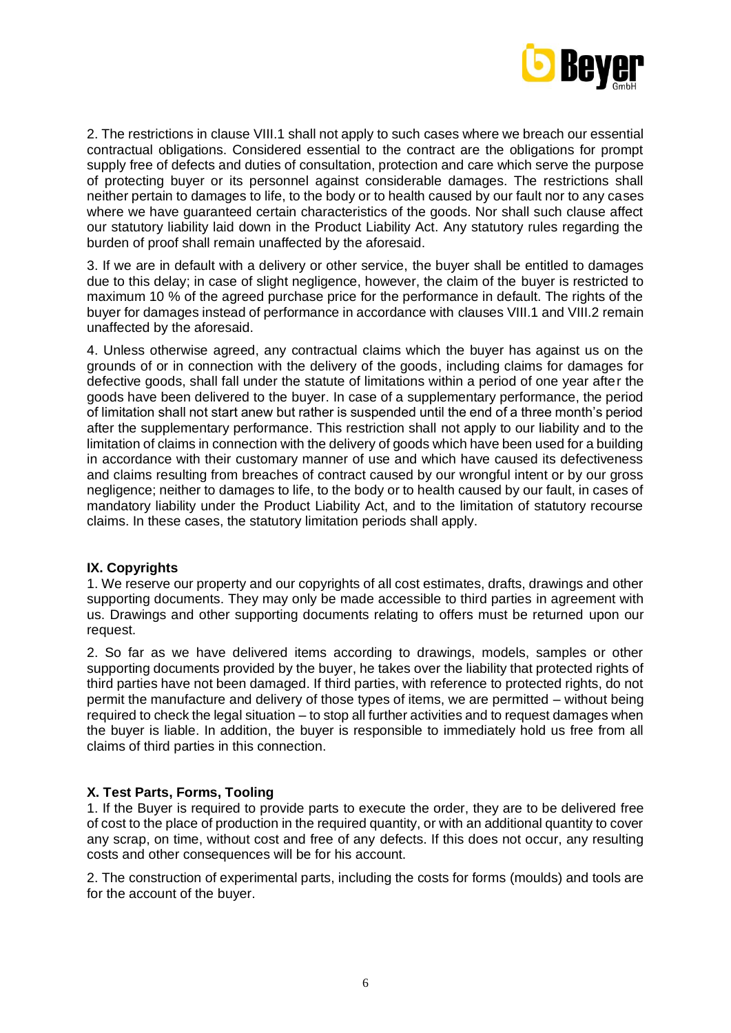

2. The restrictions in clause VIII.1 shall not apply to such cases where we breach our essential contractual obligations. Considered essential to the contract are the obligations for prompt supply free of defects and duties of consultation, protection and care which serve the purpose of protecting buyer or its personnel against considerable damages. The restrictions shall neither pertain to damages to life, to the body or to health caused by our fault nor to any cases where we have quaranteed certain characteristics of the goods. Nor shall such clause affect our statutory liability laid down in the Product Liability Act. Any statutory rules regarding the burden of proof shall remain unaffected by the aforesaid.

3. If we are in default with a delivery or other service, the buyer shall be entitled to damages due to this delay; in case of slight negligence, however, the claim of the buyer is restricted to maximum 10 % of the agreed purchase price for the performance in default. The rights of the buyer for damages instead of performance in accordance with clauses VIII.1 and VIII.2 remain unaffected by the aforesaid.

4. Unless otherwise agreed, any contractual claims which the buyer has against us on the grounds of or in connection with the delivery of the goods, including claims for damages for defective goods, shall fall under the statute of limitations within a period of one year after the goods have been delivered to the buyer. In case of a supplementary performance, the period of limitation shall not start anew but rather is suspended until the end of a three month's period after the supplementary performance. This restriction shall not apply to our liability and to the limitation of claims in connection with the delivery of goods which have been used for a building in accordance with their customary manner of use and which have caused its defectiveness and claims resulting from breaches of contract caused by our wrongful intent or by our gross negligence; neither to damages to life, to the body or to health caused by our fault, in cases of mandatory liability under the Product Liability Act, and to the limitation of statutory recourse claims. In these cases, the statutory limitation periods shall apply.

# **IX. Copyrights**

1. We reserve our property and our copyrights of all cost estimates, drafts, drawings and other supporting documents. They may only be made accessible to third parties in agreement with us. Drawings and other supporting documents relating to offers must be returned upon our request.

2. So far as we have delivered items according to drawings, models, samples or other supporting documents provided by the buyer, he takes over the liability that protected rights of third parties have not been damaged. If third parties, with reference to protected rights, do not permit the manufacture and delivery of those types of items, we are permitted – without being required to check the legal situation – to stop all further activities and to request damages when the buyer is liable. In addition, the buyer is responsible to immediately hold us free from all claims of third parties in this connection.

# **X. Test Parts, Forms, Tooling**

1. If the Buyer is required to provide parts to execute the order, they are to be delivered free of cost to the place of production in the required quantity, or with an additional quantity to cover any scrap, on time, without cost and free of any defects. If this does not occur, any resulting costs and other consequences will be for his account.

2. The construction of experimental parts, including the costs for forms (moulds) and tools are for the account of the buyer.